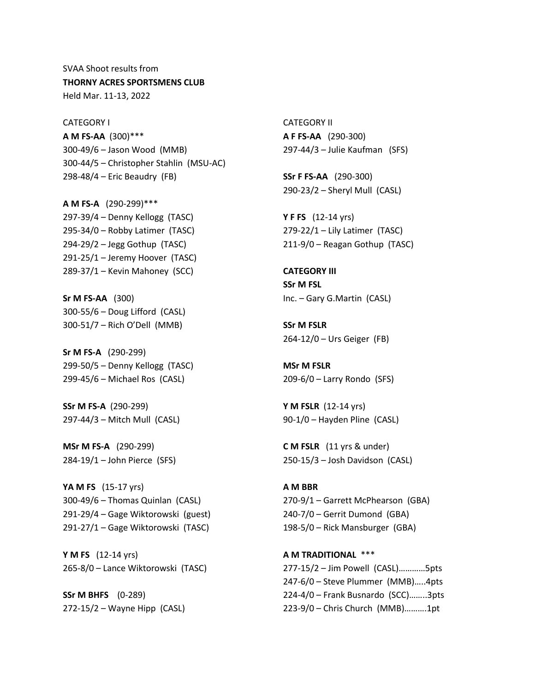SVAA Shoot results from **THORNY ACRES SPORTSMENS CLUB** Held Mar. 11-13, 2022

CATEGORY I **A M FS-AA** (300)\*\*\* 300-49/6 – Jason Wood (MMB) 300-44/5 – Christopher Stahlin (MSU-AC) 298-48/4 – Eric Beaudry (FB)

**A M FS-A** (290-299)\*\*\* 297-39/4 – Denny Kellogg (TASC) 295-34/0 – Robby Latimer (TASC) 294-29/2 – Jegg Gothup (TASC) 291-25/1 – Jeremy Hoover (TASC) 289-37/1 – Kevin Mahoney (SCC)

**Sr M FS-AA** (300) 300-55/6 – Doug Lifford (CASL) 300-51/7 – Rich O'Dell (MMB)

**Sr M FS-A** (290-299) 299-50/5 – Denny Kellogg (TASC) 299-45/6 – Michael Ros (CASL)

**SSr M FS-A** (290-299) 297-44/3 – Mitch Mull (CASL)

**MSr M FS-A** (290-299) 284-19/1 – John Pierce (SFS)

**YA M FS** (15-17 yrs) 300-49/6 – Thomas Quinlan (CASL) 291-29/4 – Gage Wiktorowski (guest) 291-27/1 – Gage Wiktorowski (TASC)

**Y M FS** (12-14 yrs) 265-8/0 – Lance Wiktorowski (TASC)

**SSr M BHFS** (0-289) 272-15/2 – Wayne Hipp (CASL)

CATEGORY II **A F FS-AA** (290-300) 297-44/3 – Julie Kaufman (SFS)

**SSr F FS-AA** (290-300) 290-23/2 – Sheryl Mull (CASL)

**Y F FS** (12-14 yrs) 279-22/1 – Lily Latimer (TASC) 211-9/0 – Reagan Gothup (TASC)

**CATEGORY III SSr M FSL** Inc. – Gary G.Martin (CASL)

**SSr M FSLR** 264-12/0 – Urs Geiger (FB)

**MSr M FSLR** 209-6/0 – Larry Rondo (SFS)

**Y M FSLR** (12-14 yrs) 90-1/0 – Hayden Pline (CASL)

**C M FSLR** (11 yrs & under) 250-15/3 – Josh Davidson (CASL)

**A M BBR** 270-9/1 – Garrett McPhearson (GBA) 240-7/0 – Gerrit Dumond (GBA) 198-5/0 – Rick Mansburger (GBA)

**A M TRADITIONAL** \*\*\* 277-15/2 – Jim Powell (CASL)…………5pts 247-6/0 – Steve Plummer (MMB)…..4pts 224-4/0 – Frank Busnardo (SCC)……..3pts 223-9/0 – Chris Church (MMB)……….1pt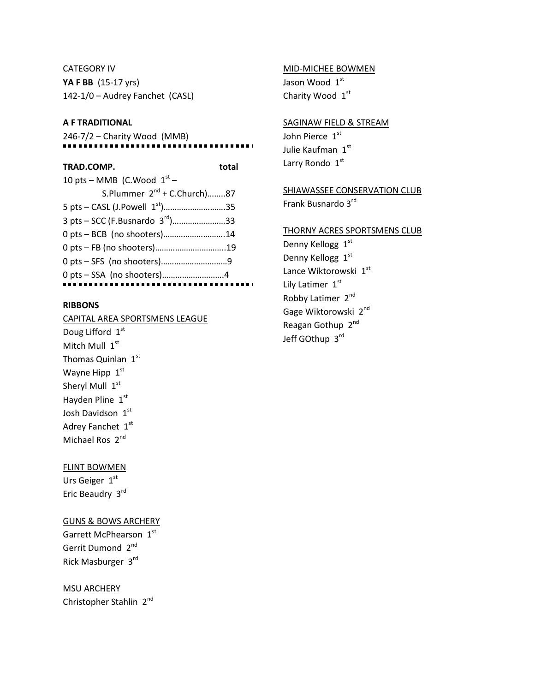CATEGORY IV **YA F BB** (15-17 yrs) 142-1/0 – Audrey Fanchet (CASL)

## **A F TRADITIONAL**

246-7/2 – Charity Wood (MMB)

### **TRAD.COMP. total**

 $\mathbf{r}$ 

| 10 pts – MMB (C.Wood $1st$ –               |  |
|--------------------------------------------|--|
| S.Plummer 2 <sup>nd</sup> + C.Church)87    |  |
| 5 pts – CASL (J.Powell 1 <sup>st</sup> )35 |  |
| 3 pts – SCC (F.Busnardo 3rd)33             |  |
| 0 pts - BCB (no shooters)14                |  |
|                                            |  |
|                                            |  |
|                                            |  |
|                                            |  |

## **RIBBONS**

CAPITAL AREA SPORTSMENS LEAGUE Doug Lifford 1st Mitch Mull 1st Thomas Quinlan 1st Wayne Hipp  $1<sup>st</sup>$ Sheryl Mull 1st Hayden Pline 1st Josh Davidson 1st Adrey Fanchet 1st Michael Ros 2<sup>nd</sup>

### FLINT BOWMEN

Urs Geiger 1st Eric Beaudry 3rd

GUNS & BOWS ARCHERY Garrett McPhearson 1st Gerrit Dumond 2<sup>nd</sup> Rick Masburger 3rd

MSU ARCHERY Christopher Stahlin 2nd

# MID-MICHEE BOWMEN

Jason Wood 1st Charity Wood 1st

#### SAGINAW FIELD & STREAM

John Pierce 1st Julie Kaufman 1st Larry Rondo 1st

**SHIAWASSEE CONSERVATION CLUB** Frank Busnardo 3rd

#### THORNY ACRES SPORTSMENS CLUB

Denny Kellogg 1st Denny Kellogg 1st Lance Wiktorowski 1st Lily Latimer 1st Robby Latimer 2<sup>nd</sup> Gage Wiktorowski 2<sup>nd</sup> Reagan Gothup 2nd Jeff GOthup 3rd